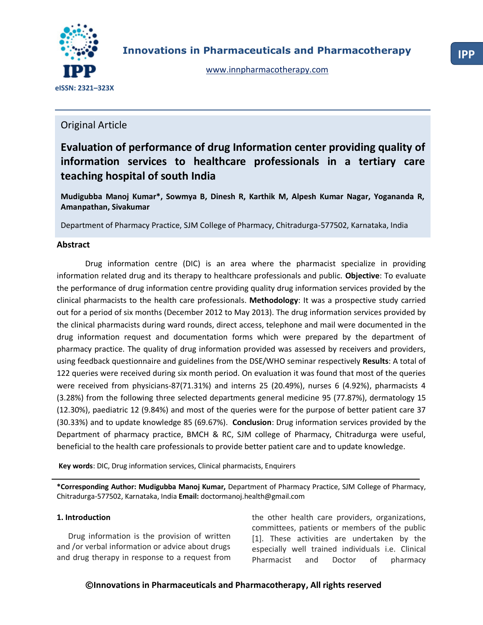

# Original Article

# **Evaluation of performance of drug Information center providing quality of information services to healthcare professionals in a tertiary care teaching hospital of south India**

**Mudigubba Manoj Kumar\*, Sowmya B, Dinesh R, Karthik M, Alpesh Kumar Nagar, Yogananda R, Amanpathan, Sivakumar**

Department of Pharmacy Practice, SJM College of Pharmacy, Chitradurga-577502, Karnataka, India

# **Abstract**

Drug information centre (DIC) is an area where the pharmacist specialize in providing information related drug and its therapy to healthcare professionals and public. **Objective**: To evaluate the performance of drug information centre providing quality drug information services provided by the clinical pharmacists to the health care professionals. **Methodology**: It was a prospective study carried out for a period of six months (December 2012 to May 2013). The drug information services provided by the clinical pharmacists during ward rounds, direct access, telephone and mail were documented in the drug information request and documentation forms which were prepared by the department of pharmacy practice. The quality of drug information provided was assessed by receivers and providers, using feedback questionnaire and guidelines from the DSE/WHO seminar respectively **Results**: A total of 122 queries were received during six month period. On evaluation it was found that most of the queries were received from physicians-87(71.31%) and interns 25 (20.49%), nurses 6 (4.92%), pharmacists 4 (3.28%) from the following three selected departments general medicine 95 (77.87%), dermatology 15 (12.30%), paediatric 12 (9.84%) and most of the queries were for the purpose of better patient care 37 (30.33%) and to update knowledge 85 (69.67%). **Conclusion**: Drug information services provided by the Department of pharmacy practice, BMCH & RC, SJM college of Pharmacy, Chitradurga were useful, beneficial to the health care professionals to provide better patient care and to update knowledge.

**Key words**: DIC, Drug information services, Clinical pharmacists, Enquirers

**\*Corresponding Author: Mudigubba Manoj Kumar,** Department of Pharmacy Practice, SJM College of Pharmacy, Chitradurga-577502, Karnataka, India **Email:** doctormanoj.health@gmail.com

# **1. Introduction**

Drug information is the provision of written and /or verbal information or advice about drugs and drug therapy in response to a request from the other health care providers, organizations, committees, patients or members of the public [1]. These activities are undertaken by the especially well trained individuals i.e. Clinical Pharmacist and Doctor of pharmacy

# **©Innovations in Pharmaceuticals and Pharmacotherapy, All rights reserved**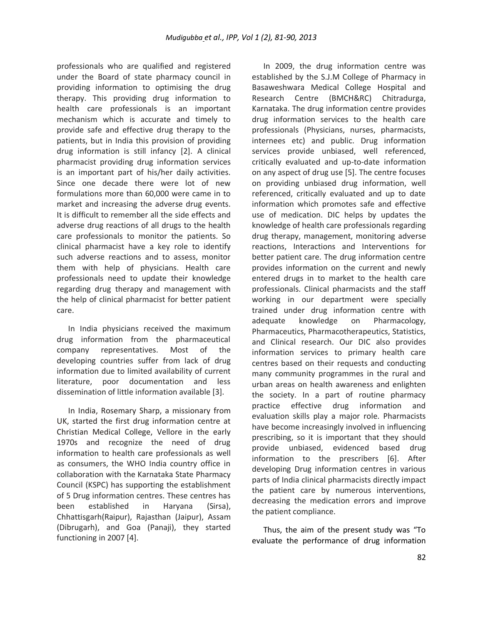professionals who are qualified and registered under the Board of state pharmacy council in providing information to optimising the drug therapy. This providing drug information to health care professionals is an important mechanism which is accurate and timely to provide safe and effective drug therapy to the patients, but in India this provision of providing drug information is still infancy [2]. A clinical pharmacist providing drug information services is an important part of his/her daily activities. Since one decade there were lot of new formulations more than 60,000 were came in to market and increasing the adverse drug events. It is difficult to remember all the side effects and adverse drug reactions of all drugs to the health care professionals to monitor the patients. So clinical pharmacist have a key role to identify such adverse reactions and to assess, monitor them with help of physicians. Health care professionals need to update their knowledge regarding drug therapy and management with the help of clinical pharmacist for better patient care.

In India physicians received the maximum drug information from the pharmaceutical company representatives. Most of the developing countries suffer from lack of drug information due to limited availability of current literature, poor documentation and less dissemination of little information available [3].

In India, Rosemary Sharp, a missionary from UK, started the first drug information centre at Christian Medical College, Vellore in the early 1970s and recognize the need of drug information to health care professionals as well as consumers, the WHO India country office in collaboration with the Karnataka State Pharmacy Council (KSPC) has supporting the establishment of 5 Drug information centres. These centres has been established in Haryana (Sirsa), Chhattisgarh(Raipur), Rajasthan (Jaipur), Assam (Dibrugarh), and Goa (Panaji), they started functioning in 2007 [4].

In 2009, the drug information centre was established by the S.J.M College of Pharmacy in Basaweshwara Medical College Hospital and Research Centre (BMCH&RC) Chitradurga, Karnataka. The drug information centre provides drug information services to the health care professionals (Physicians, nurses, pharmacists, internees etc) and public. Drug information services provide unbiased, well referenced, critically evaluated and up-to-date information on any aspect of drug use [5]. The centre focuses on providing unbiased drug information, well referenced, critically evaluated and up to date information which promotes safe and effective use of medication. DIC helps by updates the knowledge of health care professionals regarding drug therapy, management, monitoring adverse reactions, Interactions and Interventions for better patient care. The drug information centre provides information on the current and newly entered drugs in to market to the health care professionals. Clinical pharmacists and the staff working in our department were specially trained under drug information centre with adequate knowledge on Pharmacology, Pharmaceutics, Pharmacotherapeutics, Statistics, and Clinical research. Our DIC also provides information services to primary health care centres based on their requests and conducting many community programmes in the rural and urban areas on health awareness and enlighten the society. In a part of routine pharmacy practice effective drug information and evaluation skills play a major role. Pharmacists have become increasingly involved in influencing prescribing, so it is important that they should provide unbiased, evidenced based drug information to the prescribers [6]. After developing Drug information centres in various parts of India clinical pharmacists directly impact the patient care by numerous interventions, decreasing the medication errors and improve the patient compliance.

Thus, the aim of the present study was "To evaluate the performance of drug information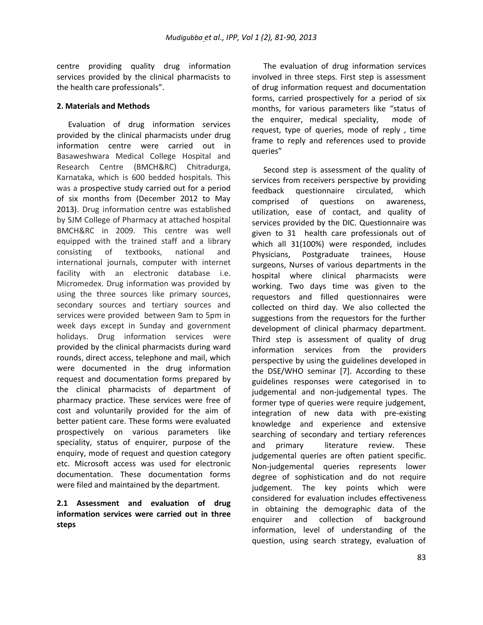centre providing quality drug information services provided by the clinical pharmacists to the health care professionals".

# **2. Materials and Methods**

Evaluation of drug information services provided by the clinical pharmacists under drug information centre were carried out in Basaweshwara Medical College Hospital and Research Centre (BMCH&RC) Chitradurga, Karnataka, which is 600 bedded hospitals. This was a prospective study carried out for a period of six months from (December 2012 to May 2013). Drug information centre was established by SJM College of Pharmacy at attached hospital BMCH&RC in 2009. This centre was well equipped with the trained staff and a library consisting of textbooks, national and international journals, computer with internet facility with an electronic database i.e. Micromedex. Drug information was provided by using the three sources like primary sources, secondary sources and tertiary sources and services were provided between 9am to 5pm in week days except in Sunday and government holidays. Drug information services were provided by the clinical pharmacists during ward rounds, direct access, telephone and mail, which were documented in the drug information request and documentation forms prepared by the clinical pharmacists of department of pharmacy practice. These services were free of cost and voluntarily provided for the aim of better patient care. These forms were evaluated prospectively on various parameters like speciality, status of enquirer, purpose of the enquiry, mode of request and question category etc. Microsoft access was used for electronic documentation. These documentation forms were filed and maintained by the department.

# **2.1 Assessment and evaluation of drug information services were carried out in three steps**

The evaluation of drug information services involved in three steps. First step is assessment of drug information request and documentation forms, carried prospectively for a period of six months, for various parameters like "status of the enquirer, medical speciality, mode of request, type of queries, mode of reply , time frame to reply and references used to provide queries"

Second step is assessment of the quality of services from receivers perspective by providing feedback questionnaire circulated, which comprised of questions on awareness, utilization, ease of contact, and quality of services provided by the DIC. Questionnaire was given to 31 health care professionals out of which all 31(100%) were responded, includes Physicians, Postgraduate trainees, House surgeons, Nurses of various departments in the hospital where clinical pharmacists were working. Two days time was given to the requestors and filled questionnaires were collected on third day. We also collected the suggestions from the requestors for the further development of clinical pharmacy department. Third step is assessment of quality of drug information services from the providers perspective by using the guidelines developed in the DSE/WHO seminar [7]. According to these guidelines responses were categorised in to judgemental and non-judgemental types. The former type of queries were require judgement, integration of new data with pre-existing knowledge and experience and extensive searching of secondary and tertiary references and primary literature review. These judgemental queries are often patient specific. Non-judgemental queries represents lower degree of sophistication and do not require judgement. The key points which were considered for evaluation includes effectiveness in obtaining the demographic data of the enquirer and collection of background information, level of understanding of the question, using search strategy, evaluation of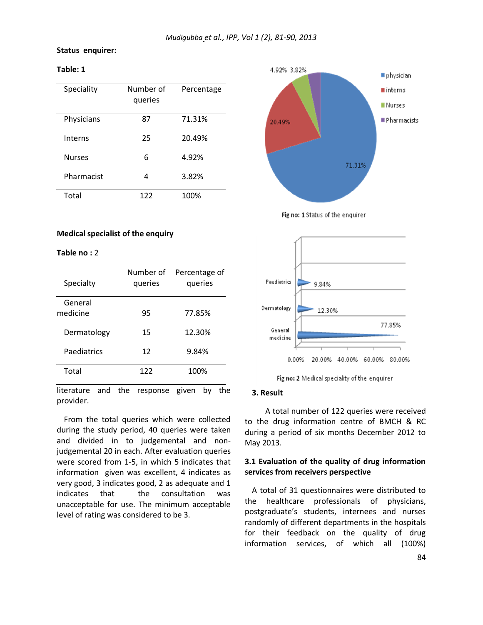#### **Status enquirer:**

## **Table: 1**

| Speciality    | Number of<br>queries | Percentage |
|---------------|----------------------|------------|
| Physicians    | 87                   | 71.31%     |
| Interns       | 25                   | 20.49%     |
| <b>Nurses</b> | 6                    | 4.92%      |
| Pharmacist    | 4                    | 3.82%      |
| Total         | 122                  | 100%       |

#### **Medical specialist of the enquiry:**

#### **Table no :** 2

| Specialty           | Number of<br>queries | Percentage of<br>queries |
|---------------------|----------------------|--------------------------|
| General<br>medicine | 95                   | 77.85%                   |
| Dermatology         | 15                   | 12.30%                   |
| Paediatrics         | 12                   | 9.84%                    |
| Total               | 122                  | 100%                     |

literature and the response given by the provider.

From the total queries which were collected during the study period, 40 queries were taken and divided in to judgemental and nonjudgemental 20 in each. After evaluation queries were scored from 1-5, in which 5 indicates that information given was excellent, 4 indicates as very good, 3 indicates good, 2 as adequate and 1 indicates that the consultation was unacceptable for use. The minimum acceptable level of rating was considered to be 3.



Fig no: 1 Status of the enquirer



Fig no: 2 Medical speciality of the enquirer

#### **3. Result**

A total number of 122 queries were received to the drug information centre of BMCH & RC during a period of six months December 2012 to May 2013.

### **3.1 Evaluation of the quality of drug information services from receivers perspective**

A total of 31 questionnaires were distributed to the healthcare professionals of physicians, postgraduate's students, internees and nurses randomly of different departments in the hospitals for their feedback on the quality of drug information services, of which all (100%)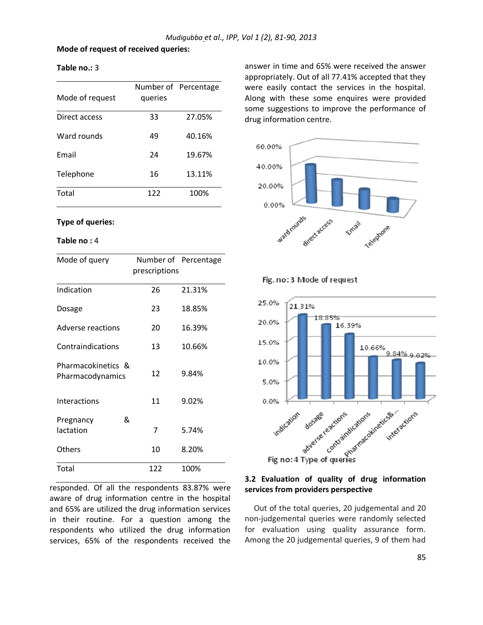#### **Mode of request of received queries:**

| Mode of request | queries | Number of Percentage |
|-----------------|---------|----------------------|
| Direct access   | 33      | 27.05%               |
| Ward rounds     | 49      | 40.16%               |
| Fmail           | 24      | 19.67%               |
| Telephone       | 16      | 13.11%               |
| Total           | 122     | 100%                 |

# **Type of queries:**

#### **Table no :** 4

**Table no.:** 3

| Mode of query                          | Number of Percentage<br>prescriptions |        |
|----------------------------------------|---------------------------------------|--------|
| Indication                             | 26                                    | 21.31% |
| Dosage                                 | 23                                    | 18.85% |
| Adverse reactions                      | 20                                    | 16.39% |
| Contraindications                      | 13                                    | 10.66% |
| Pharmacokinetics &<br>Pharmacodynamics | 12                                    | 9.84%  |
| Interactions                           | 11                                    | 9.02%  |
| &<br>Pregnancy<br>lactation            | 7                                     | 5.74%  |
| Others                                 | 10                                    | 8.20%  |
| Total                                  | 122                                   | 100%   |

responded. Of all the respondents 83.87% were aware of drug information centre in the hospital and 65% are utilized the drug information services in their routine. For a question among the respondents who utilized the drug information services, 65% of the respondents received the answer in time and 65% were received the answer appropriately. Out of all 77.41% accepted that they were easily contact the services in the hospital. Along with these some enquires were provided some suggestions to improve the performance of drug information centre.



Fig. no: 3 Mode of request



## **3.2 Evaluation of quality of drug information services from providers perspective**

Out of the total queries, 20 judgemental and 20 non-judgemental queries were randomly selected for evaluation using quality assurance form. Among the 20 judgemental queries, 9 of them had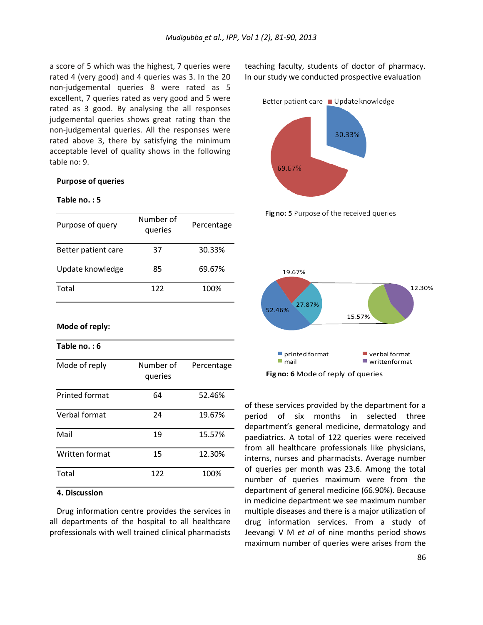a score of 5 which was the highest, 7 queries were rated 4 (very good) and 4 queries was 3. In the 20 non-judgemental queries 8 were rated as 5 excellent, 7 queries rated as very good and 5 were rated as 3 good. By analysing the all responses judgemental queries shows great rating than the non-judgemental queries. All the responses were rated above 3, there by satisfying the minimum acceptable level of quality shows in the following table no: 9.

#### **Purpose of queries**

#### **Table no. : 5**

| Purpose of query    | Number of<br>queries | Percentage |
|---------------------|----------------------|------------|
| Better patient care | 37                   | 30.33%     |
| Update knowledge    | 85                   | 69.67%     |
| Total               | 122                  | 100%       |

**Mode of reply:**

**Table no. : 6**  Mode of reply Mumber of queries Printed format 64 52.46%

| Verbal format  | 24  | 19.67% |
|----------------|-----|--------|
| Mail           | 19  | 15.57% |
| Written format | 15  | 12.30% |
| Total          | 122 | 100%   |

Percentage

## **4. Discussion**

Drug information centre provides the services in all departments of the hospital to all healthcare professionals with well trained clinical pharmacists teaching faculty, students of doctor of pharmacy. In our study we conducted prospective evaluation







of these services provided by the department for a period of six months in selected three department's general medicine, dermatology and paediatrics. A total of 122 queries were received from all healthcare professionals like physicians, interns, nurses and pharmacists. Average number of queries per month was 23.6. Among the total number of queries maximum were from the department of general medicine (66.90%). Because in medicine department we see maximum number multiple diseases and there is a major utilization of drug information services. From a study of Jeevangi V M *et al* of nine months period shows maximum number of queries were arises from the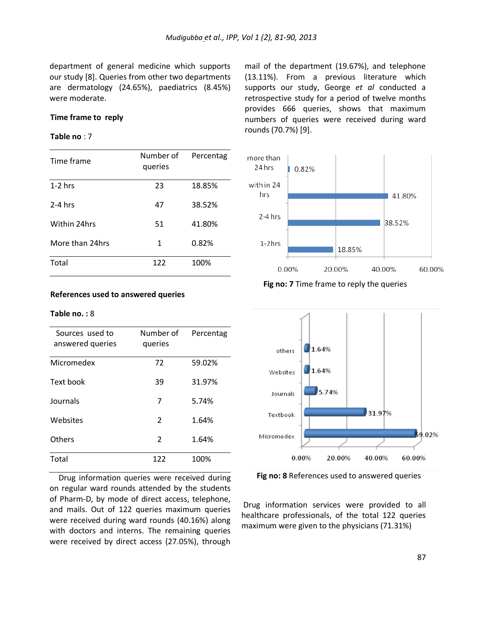department of general medicine which supports our study [8]. Queries from other two departments are dermatology (24.65%), paediatrics (8.45%) were moderate.

# **Time frame to reply**

#### **Table no** : 7

| Time frame      | Number of<br>queries | Percentag |
|-----------------|----------------------|-----------|
| $1-2$ hrs       | 23                   | 18.85%    |
| $2-4$ hrs       | 47                   | 38.52%    |
| Within 24hrs    | 51                   | 41.80%    |
| More than 24hrs | 1                    | 0.82%     |
| Total           | 122                  | 100%      |

#### **References used to answered queries**

#### **Table no. :** 8

| Sources used to<br>answered queries | Number of<br>queries | Percentag |
|-------------------------------------|----------------------|-----------|
| Micromedex                          | 72                   | 59.02%    |
| Text book                           | 39                   | 31.97%    |
| Journals                            | 7                    | 5.74%     |
| Websites                            | 2                    | 1.64%     |
| Others                              | 2                    | 1.64%     |
| Total                               | 122                  | 100%      |

Drug information queries were received during on regular ward rounds attended by the students of Pharm-D, by mode of direct access, telephone, and mails. Out of 122 queries maximum queries were received during ward rounds (40.16%) along with doctors and interns. The remaining queries were received by direct access (27.05%), through

mail of the department (19.67%), and telephone (13.11%). From a previous literature which supports our study, George *et al* conducted a retrospective study for a period of twelve months provides 666 queries, shows that maximum numbers of queries were received during ward rounds (70.7%) [9].



**Fig no: 7** Time frame to reply the queries



**Fig no: 8** References used to answered queries

Drug information services were provided to all healthcare professionals, of the total 122 queries maximum were given to the physicians (71.31%)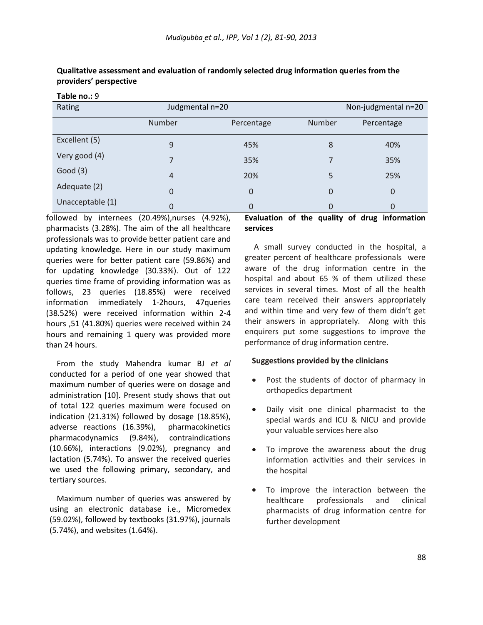| Rating           | Judgmental n=20 |                |        | Non-judgmental n=20 |
|------------------|-----------------|----------------|--------|---------------------|
|                  | Number          | Percentage     | Number | Percentage          |
| Excellent (5)    | 9               | 45%            | 8      | 40%                 |
| Very good (4)    |                 | 35%            |        | 35%                 |
| Good(3)          | $\overline{4}$  | 20%            | 5      | 25%                 |
| Adequate (2)     | $\Omega$        | $\overline{0}$ | 0      | $\mathbf{0}$        |
| Unacceptable (1) | 0               | 0              |        | 0                   |

**Qualitative assessment and evaluation of randomly selected drug information queries from the providers' perspective**

**Table no.:** 9

followed by internees (20.49%),nurses (4.92%), pharmacists (3.28%). The aim of the all healthcare professionals was to provide better patient care and updating knowledge. Here in our study maximum queries were for better patient care (59.86%) and for updating knowledge (30.33%). Out of 122 queries time frame of providing information was as follows, 23 queries (18.85%) were received information immediately 1-2hours, 47queries (38.52%) were received information within 2-4 hours ,51 (41.80%) queries were received within 24 hours and remaining 1 query was provided more than 24 hours.

From the study Mahendra kumar BJ *et al* conducted for a period of one year showed that maximum number of queries were on dosage and administration [10]. Present study shows that out of total 122 queries maximum were focused on indication (21.31%) followed by dosage (18.85%), adverse reactions (16.39%), pharmacokinetics pharmacodynamics (9.84%), contraindications (10.66%), interactions (9.02%), pregnancy and lactation (5.74%). To answer the received queries we used the following primary, secondary, and tertiary sources.

Maximum number of queries was answered by using an electronic database i.e., Micromedex (59.02%), followed by textbooks (31.97%), journals (5.74%), and websites (1.64%).

# **Evaluation of the quality of drug information services**

A small survey conducted in the hospital, a greater percent of healthcare professionals were aware of the drug information centre in the hospital and about 65 % of them utilized these services in several times. Most of all the health care team received their answers appropriately and within time and very few of them didn't get their answers in appropriately. Along with this enquirers put some suggestions to improve the performance of drug information centre.

# **Suggestions provided by the clinicians**

- Post the students of doctor of pharmacy in orthopedics department
- Daily visit one clinical pharmacist to the special wards and ICU & NICU and provide your valuable services here also
- To improve the awareness about the drug information activities and their services in the hospital
- To improve the interaction between the healthcare professionals and clinical pharmacists of drug information centre for further development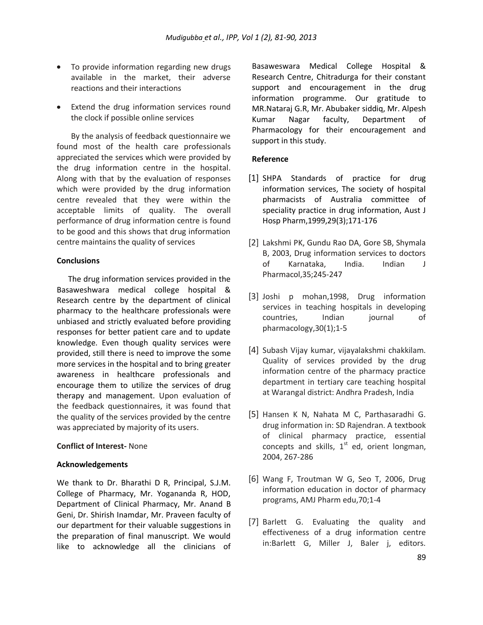- To provide information regarding new drugs available in the market, their adverse reactions and their interactions
- Extend the drug information services round the clock if possible online services

By the analysis of feedback questionnaire we found most of the health care professionals appreciated the services which were provided by the drug information centre in the hospital. Along with that by the evaluation of responses which were provided by the drug information centre revealed that they were within the acceptable limits of quality. The overall performance of drug information centre is found to be good and this shows that drug information centre maintains the quality of services

#### **Conclusions**

The drug information services provided in the Basaweshwara medical college hospital & Research centre by the department of clinical pharmacy to the healthcare professionals were unbiased and strictly evaluated before providing responses for better patient care and to update knowledge. Even though quality services were provided, still there is need to improve the some more services in the hospital and to bring greater awareness in healthcare professionals and encourage them to utilize the services of drug therapy and management. Upon evaluation of the feedback questionnaires, it was found that the quality of the services provided by the centre was appreciated by majority of its users.

#### **Conflict of Interest-** None

#### **Acknowledgements**

We thank to Dr. Bharathi D R, Principal, S.J.M. College of Pharmacy, Mr. Yogananda R, HOD, Department of Clinical Pharmacy, Mr. Anand B Geni, Dr. Shirish Inamdar, Mr. Praveen faculty of our department for their valuable suggestions in the preparation of final manuscript. We would like to acknowledge all the clinicians of

Basaweswara Medical College Hospital & Research Centre, Chitradurga for their constant support and encouragement in the drug information programme. Our gratitude to MR.Nataraj G.R, Mr. Abubaker siddiq, Mr. Alpesh Kumar Nagar faculty, Department of Pharmacology for their encouragement and support in this study.

#### **Reference**

- [1] SHPA Standards of practice for drug information services, The society of hospital pharmacists of Australia committee of speciality practice in drug information, Aust J Hosp Pharm,1999,29(3);171-176
- [2] Lakshmi PK, Gundu Rao DA, Gore SB, Shymala B, 2003, Drug information services to doctors of Karnataka, India. Indian J Pharmacol,35;245-247
- [3] Joshi p mohan,1998, Drug information services in teaching hospitals in developing countries, Indian journal of pharmacology,30(1);1-5
- [4] Subash Vijay kumar, vijayalakshmi chakkilam. Quality of services provided by the drug information centre of the pharmacy practice department in tertiary care teaching hospital at Warangal district: Andhra Pradesh, India
- [5] Hansen K N, Nahata M C, Parthasaradhi G. drug information in: SD Rajendran. A textbook of clinical pharmacy practice, essential concepts and skills,  $1<sup>st</sup>$  ed, orient longman, 2004, 267-286
- [6] Wang F, Troutman W G, Seo T, 2006, Drug information education in doctor of pharmacy programs, AMJ Pharm edu,70;1-4
- [7] Barlett G. Evaluating the quality and effectiveness of a drug information centre in:Barlett G, Miller J, Baler j, editors.